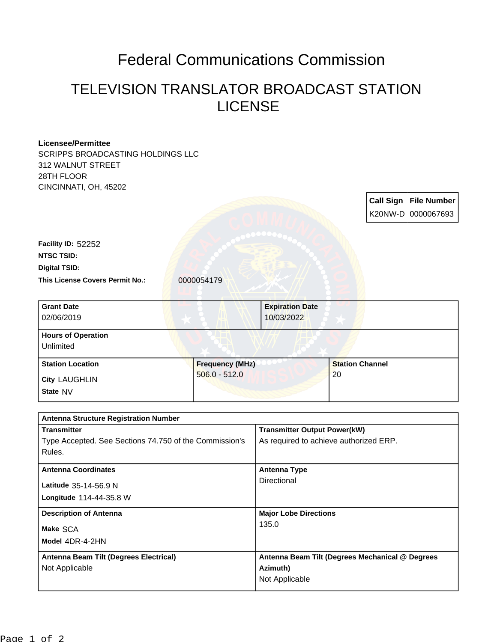## Federal Communications Commission

## TELEVISION TRANSLATOR BROADCAST STATION LICENSE

## **Licensee/Permittee** SCRIPPS BROADCASTING HOLDINGS LLC 312 WALNUT STREET 28TH FLOOR CINCINNATI, OH, 45202 **Call Sign File Number** K20NW-D 0000067693 This License Covers Permit No.: 0000054179 **Digital TSID: NTSC TSID: Facility ID:** 52252 **State** NV **City** LAUGHLIN **Grant Date** 02/06/2019 **Expiration Date** 10/03/2022 **Hours of Operation** Unlimited **Station Location Figure 1 2 and 5 and 5 and 5 and 5 and 5 and 5 and 5 and 5 and 5 and 5 and 5 and 5 and 5 and 5 and 5 and 5 and 5 and 5 and 5 and 5 and 5 and 5 and 5 and 5 and 5 and 5 and 5 and 5 and 5 and 5 and 5 and 5** 506.0 - 512.0 **Station Channel** 20 **Antenna Structure Registration Number**

| <b>Transmitter</b>                                     | <b>Transmitter Output Power(kW)</b>             |
|--------------------------------------------------------|-------------------------------------------------|
| Type Accepted. See Sections 74.750 of the Commission's | As required to achieve authorized ERP.          |
| Rules.                                                 |                                                 |
| <b>Antenna Coordinates</b>                             | <b>Antenna Type</b>                             |
| Latitude 35-14-56.9 N                                  | Directional                                     |
| Longitude 114-44-35.8 W                                |                                                 |
| <b>Description of Antenna</b>                          | <b>Major Lobe Directions</b>                    |
| Make SCA                                               | 135.0                                           |
| Model 4DR-4-2HN                                        |                                                 |
| Antenna Beam Tilt (Degrees Electrical)                 | Antenna Beam Tilt (Degrees Mechanical @ Degrees |
| Not Applicable                                         | Azimuth)                                        |
|                                                        | Not Applicable                                  |